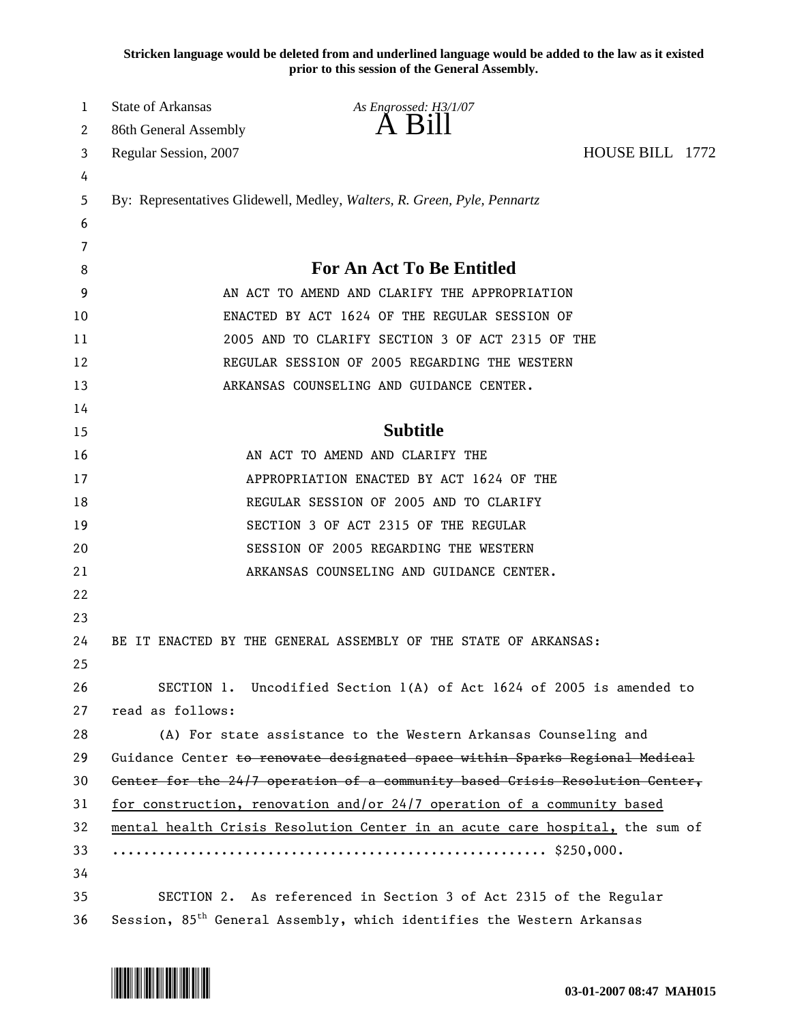**Stricken language would be deleted from and underlined language would be added to the law as it existed prior to this session of the General Assembly.**

| 1  | <b>State of Arkansas</b>                                                     | As Engrossed: H3/1/07                                                             |                 |  |  |
|----|------------------------------------------------------------------------------|-----------------------------------------------------------------------------------|-----------------|--|--|
| 2  | 86th General Assembly                                                        | A Bill                                                                            |                 |  |  |
| 3  | Regular Session, 2007                                                        |                                                                                   | HOUSE BILL 1772 |  |  |
| 4  |                                                                              |                                                                                   |                 |  |  |
| 5  | By: Representatives Glidewell, Medley, Walters, R. Green, Pyle, Pennartz     |                                                                                   |                 |  |  |
| 6  |                                                                              |                                                                                   |                 |  |  |
| 7  |                                                                              |                                                                                   |                 |  |  |
| 8  |                                                                              | <b>For An Act To Be Entitled</b>                                                  |                 |  |  |
| 9  | AN ACT TO AMEND AND CLARIFY THE APPROPRIATION                                |                                                                                   |                 |  |  |
| 10 | ENACTED BY ACT 1624 OF THE REGULAR SESSION OF                                |                                                                                   |                 |  |  |
| 11 | 2005 AND TO CLARIFY SECTION 3 OF ACT 2315 OF THE                             |                                                                                   |                 |  |  |
| 12 | REGULAR SESSION OF 2005 REGARDING THE WESTERN                                |                                                                                   |                 |  |  |
| 13 |                                                                              | ARKANSAS COUNSELING AND GUIDANCE CENTER.                                          |                 |  |  |
| 14 |                                                                              |                                                                                   |                 |  |  |
| 15 |                                                                              | <b>Subtitle</b>                                                                   |                 |  |  |
| 16 |                                                                              | AN ACT TO AMEND AND CLARIFY THE                                                   |                 |  |  |
| 17 | APPROPRIATION ENACTED BY ACT 1624 OF THE                                     |                                                                                   |                 |  |  |
| 18 | REGULAR SESSION OF 2005 AND TO CLARIFY                                       |                                                                                   |                 |  |  |
| 19 |                                                                              | SECTION 3 OF ACT 2315 OF THE REGULAR                                              |                 |  |  |
| 20 |                                                                              | SESSION OF 2005 REGARDING THE WESTERN                                             |                 |  |  |
| 21 |                                                                              | ARKANSAS COUNSELING AND GUIDANCE CENTER.                                          |                 |  |  |
| 22 |                                                                              |                                                                                   |                 |  |  |
| 23 |                                                                              |                                                                                   |                 |  |  |
| 24 |                                                                              | BE IT ENACTED BY THE GENERAL ASSEMBLY OF THE STATE OF ARKANSAS:                   |                 |  |  |
| 25 |                                                                              |                                                                                   |                 |  |  |
| 26 |                                                                              | SECTION 1. Uncodified Section 1(A) of Act 1624 of 2005 is amended to              |                 |  |  |
| 27 | read as follows:                                                             |                                                                                   |                 |  |  |
| 28 |                                                                              | (A) For state assistance to the Western Arkansas Counseling and                   |                 |  |  |
| 29 | Guidance Center to renovate designated space within Sparks Regional Medical  |                                                                                   |                 |  |  |
| 30 | Center for the 24/7 operation of a community based Crisis Resolution Center, |                                                                                   |                 |  |  |
| 31 | for construction, renovation and/or 24/7 operation of a community based      |                                                                                   |                 |  |  |
| 32 | mental health Crisis Resolution Center in an acute care hospital, the sum of |                                                                                   |                 |  |  |
| 33 |                                                                              |                                                                                   |                 |  |  |
| 34 |                                                                              |                                                                                   |                 |  |  |
| 35 |                                                                              | SECTION 2. As referenced in Section 3 of Act 2315 of the Regular                  |                 |  |  |
| 36 |                                                                              | Session, 85 <sup>th</sup> General Assembly, which identifies the Western Arkansas |                 |  |  |

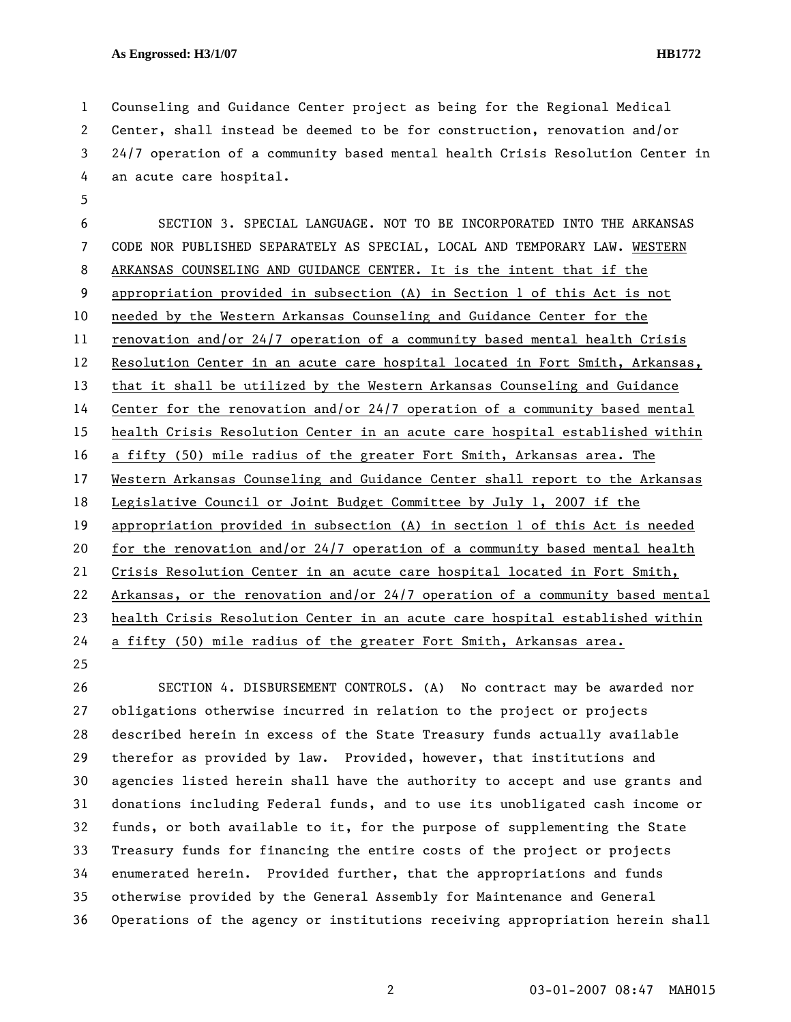1 Counseling and Guidance Center project as being for the Regional Medical 2 Center, shall instead be deemed to be for construction, renovation and/or 3 24/7 operation of a community based mental health Crisis Resolution Center in 4 an acute care hospital.

6 SECTION 3. SPECIAL LANGUAGE. NOT TO BE INCORPORATED INTO THE ARKANSAS 7 CODE NOR PUBLISHED SEPARATELY AS SPECIAL, LOCAL AND TEMPORARY LAW. WESTERN 8 ARKANSAS COUNSELING AND GUIDANCE CENTER. It is the intent that if the 9 appropriation provided in subsection (A) in Section 1 of this Act is not 10 needed by the Western Arkansas Counseling and Guidance Center for the 11 renovation and/or 24/7 operation of a community based mental health Crisis 12 Resolution Center in an acute care hospital located in Fort Smith, Arkansas, 13 that it shall be utilized by the Western Arkansas Counseling and Guidance 14 Center for the renovation and/or 24/7 operation of a community based mental 15 health Crisis Resolution Center in an acute care hospital established within 16 a fifty (50) mile radius of the greater Fort Smith, Arkansas area. The 17 Western Arkansas Counseling and Guidance Center shall report to the Arkansas 18 Legislative Council or Joint Budget Committee by July 1, 2007 if the 19 appropriation provided in subsection (A) in section 1 of this Act is needed 20 for the renovation and/or 24/7 operation of a community based mental health 21 Crisis Resolution Center in an acute care hospital located in Fort Smith, 22 Arkansas, or the renovation and/or 24/7 operation of a community based mental 23 health Crisis Resolution Center in an acute care hospital established within 24 a fifty (50) mile radius of the greater Fort Smith, Arkansas area.

25

5

26 SECTION 4. DISBURSEMENT CONTROLS. (A) No contract may be awarded nor 27 obligations otherwise incurred in relation to the project or projects 28 described herein in excess of the State Treasury funds actually available 29 therefor as provided by law. Provided, however, that institutions and 30 agencies listed herein shall have the authority to accept and use grants and 31 donations including Federal funds, and to use its unobligated cash income or 32 funds, or both available to it, for the purpose of supplementing the State 33 Treasury funds for financing the entire costs of the project or projects 34 enumerated herein. Provided further, that the appropriations and funds 35 otherwise provided by the General Assembly for Maintenance and General 36 Operations of the agency or institutions receiving appropriation herein shall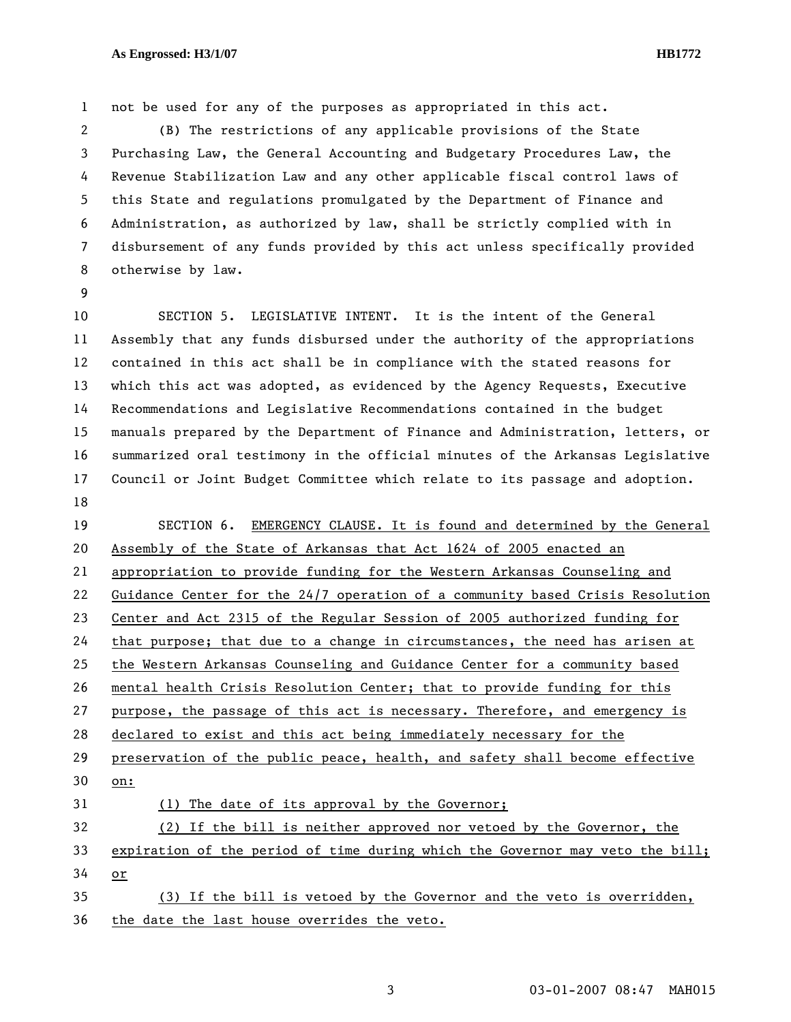1 not be used for any of the purposes as appropriated in this act.

2 (B) The restrictions of any applicable provisions of the State 3 Purchasing Law, the General Accounting and Budgetary Procedures Law, the 4 Revenue Stabilization Law and any other applicable fiscal control laws of 5 this State and regulations promulgated by the Department of Finance and 6 Administration, as authorized by law, shall be strictly complied with in 7 disbursement of any funds provided by this act unless specifically provided 8 otherwise by law.

9

10 SECTION 5. LEGISLATIVE INTENT. It is the intent of the General 11 Assembly that any funds disbursed under the authority of the appropriations 12 contained in this act shall be in compliance with the stated reasons for 13 which this act was adopted, as evidenced by the Agency Requests, Executive 14 Recommendations and Legislative Recommendations contained in the budget 15 manuals prepared by the Department of Finance and Administration, letters, or 16 summarized oral testimony in the official minutes of the Arkansas Legislative 17 Council or Joint Budget Committee which relate to its passage and adoption. 18

19 SECTION 6. EMERGENCY CLAUSE. It is found and determined by the General 20 Assembly of the State of Arkansas that Act 1624 of 2005 enacted an 21 appropriation to provide funding for the Western Arkansas Counseling and 22 Guidance Center for the 24/7 operation of a community based Crisis Resolution 23 Center and Act 2315 of the Regular Session of 2005 authorized funding for 24 that purpose; that due to a change in circumstances, the need has arisen at 25 the Western Arkansas Counseling and Guidance Center for a community based 26 mental health Crisis Resolution Center; that to provide funding for this 27 purpose, the passage of this act is necessary. Therefore, and emergency is 28 declared to exist and this act being immediately necessary for the 29 preservation of the public peace, health, and safety shall become effective 30 on: 31 (1) The date of its approval by the Governor; 32 (2) If the bill is neither approved nor vetoed by the Governor, the 33 expiration of the period of time during which the Governor may veto the bill; 34 or 35 (3) If the bill is vetoed by the Governor and the veto is overridden, 36 the date the last house overrides the veto.